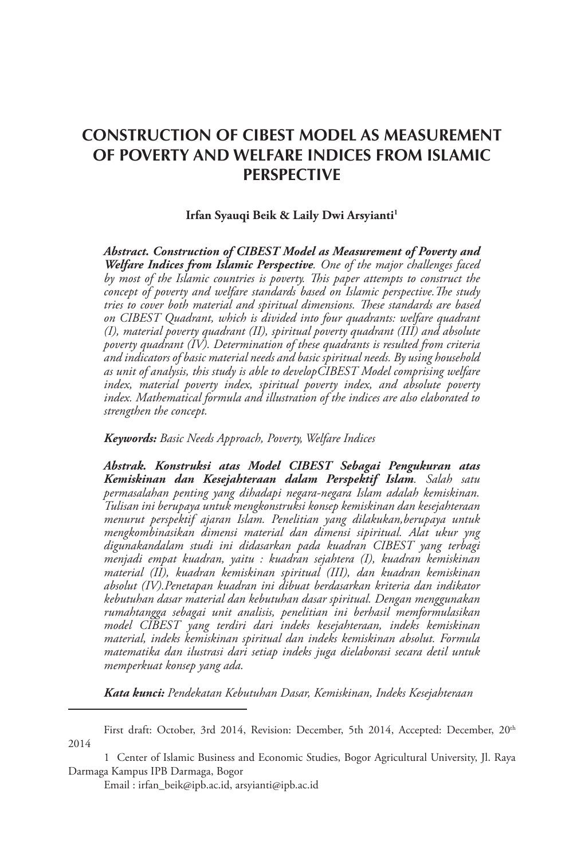# **CONSTRUCTION OF CIBEST MODEL AS MEASUREMENT OF POVERTY AND WELFARE INDICES FROM ISLAMIC PERSPECTIVE**

#### **Irfan Syauqi Beik & Laily Dwi Arsyianti1**

*Abstract. Construction of CIBEST Model as Measurement of Poverty and Welfare Indices from Islamic Perspective. One of the major challenges faced by most of the Islamic countries is poverty. This paper attempts to construct the concept of poverty and welfare standards based on Islamic perspective.The study tries to cover both material and spiritual dimensions. These standards are based on CIBEST Quadrant, which is divided into four quadrants: welfare quadrant (I), material poverty quadrant (II), spiritual poverty quadrant (III) and absolute poverty quadrant (IV). Determination of these quadrants is resulted from criteria and indicators of basic material needs and basic spiritual needs. By using household as unit of analysis, this study is able to developCIBEST Model comprising welfare*  index, material poverty index, spiritual poverty index, and absolute poverty *index. Mathematical formula and illustration of the indices are also elaborated to strengthen the concept.*

*Keywords: Basic Needs Approach, Poverty, Welfare Indices*

*Abstrak. Konstruksi atas Model CIBEST Sebagai Pengukuran atas Kemiskinan dan Kesejahteraan dalam Perspektif Islam. Salah satu permasalahan penting yang dihadapi negara-negara Islam adalah kemiskinan. Tulisan ini berupaya untuk mengkonstruksi konsep kemiskinan dan kesejahteraan menurut perspektif ajaran Islam. Penelitian yang dilakukan,berupaya untuk mengkombinasikan dimensi material dan dimensi sipiritual. Alat ukur yng digunakandalam studi ini didasarkan pada kuadran CIBEST yang terbagi menjadi empat kuadran, yaitu : kuadran sejahtera (I), kuadran kemiskinan material (II), kuadran kemiskinan spiritual (III), dan kuadran kemiskinan absolut (IV).Penetapan kuadran ini dibuat berdasarkan kriteria dan indikator kebutuhan dasar material dan kebutuhan dasar spiritual. Dengan menggunakan rumahtangga sebagai unit analisis, penelitian ini berhasil memformulasikan model CIBEST yang terdiri dari indeks kesejahteraan, indeks kemiskinan material, indeks kemiskinan spiritual dan indeks kemiskinan absolut. Formula matematika dan ilustrasi dari setiap indeks juga dielaborasi secara detil untuk memperkuat konsep yang ada.*

*Kata kunci: Pendekatan Kebutuhan Dasar, Kemiskinan, Indeks Kesejahteraan*

First draft: October, 3rd 2014, Revision: December, 5th 2014, Accepted: December, 20<sup>th</sup> 2014

<sup>1</sup> Center of Islamic Business and Economic Studies, Bogor Agricultural University, Jl. Raya Darmaga Kampus IPB Darmaga, Bogor

Email : irfan\_beik@ipb.ac.id, arsyianti@ipb.ac.id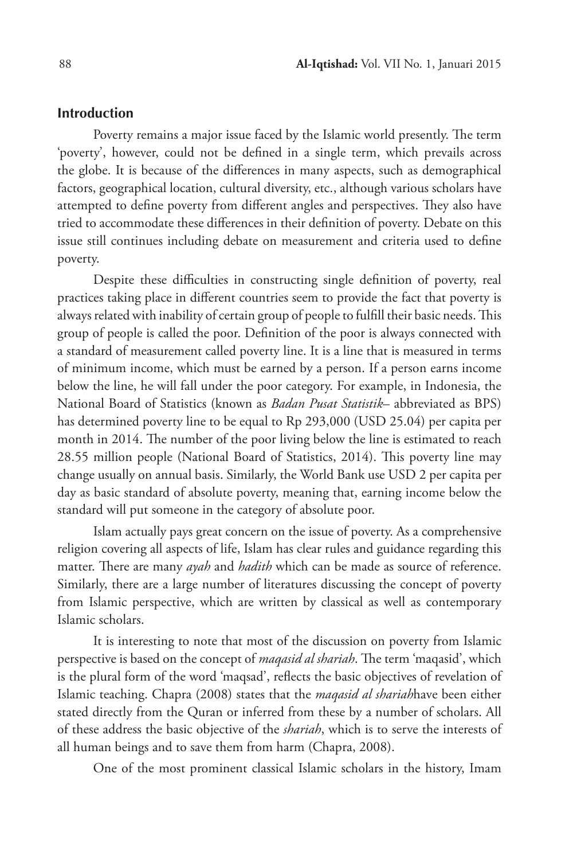#### **Introduction**

Poverty remains a major issue faced by the Islamic world presently. The term 'poverty', however, could not be defined in a single term, which prevails across the globe. It is because of the differences in many aspects, such as demographical factors, geographical location, cultural diversity, etc., although various scholars have attempted to define poverty from different angles and perspectives. They also have tried to accommodate these differences in their definition of poverty. Debate on this issue still continues including debate on measurement and criteria used to define poverty.

Despite these difficulties in constructing single definition of poverty, real practices taking place in different countries seem to provide the fact that poverty is always related with inability of certain group of people to fulfill their basic needs. This group of people is called the poor. Definition of the poor is always connected with a standard of measurement called poverty line. It is a line that is measured in terms of minimum income, which must be earned by a person. If a person earns income below the line, he will fall under the poor category. For example, in Indonesia, the National Board of Statistics (known as *Badan Pusat Statistik*– abbreviated as BPS) has determined poverty line to be equal to Rp 293,000 (USD 25.04) per capita per month in 2014. The number of the poor living below the line is estimated to reach 28.55 million people (National Board of Statistics, 2014). This poverty line may change usually on annual basis. Similarly, the World Bank use USD 2 per capita per day as basic standard of absolute poverty, meaning that, earning income below the standard will put someone in the category of absolute poor.

Islam actually pays great concern on the issue of poverty. As a comprehensive religion covering all aspects of life, Islam has clear rules and guidance regarding this matter. There are many *ayah* and *hadith* which can be made as source of reference. Similarly, there are a large number of literatures discussing the concept of poverty from Islamic perspective, which are written by classical as well as contemporary Islamic scholars.

It is interesting to note that most of the discussion on poverty from Islamic perspective is based on the concept of *maqasid al shariah*. The term 'maqasid', which is the plural form of the word 'maqsad', reflects the basic objectives of revelation of Islamic teaching. Chapra (2008) states that the *maqasid al shariah*have been either stated directly from the Quran or inferred from these by a number of scholars. All of these address the basic objective of the *shariah*, which is to serve the interests of all human beings and to save them from harm (Chapra, 2008).

One of the most prominent classical Islamic scholars in the history, Imam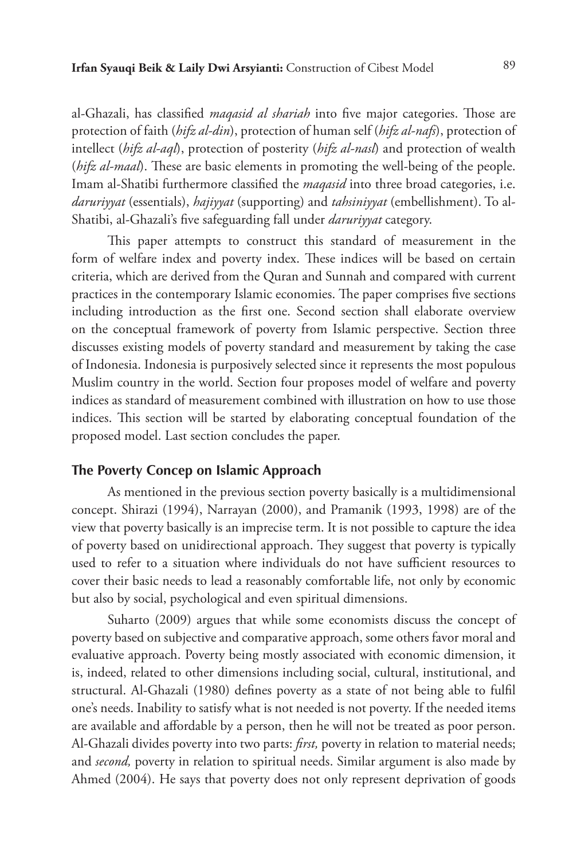al-Ghazali, has classified *maqasid al shariah* into five major categories. Those are protection of faith (*hifz al-din*), protection of human self (*hifz al-nafs*), protection of intellect (*hifz al-aql*), protection of posterity (*hifz al-nasl*) and protection of wealth (*hifz al-maal*). These are basic elements in promoting the well-being of the people. Imam al-Shatibi furthermore classified the *maqasid* into three broad categories, i.e. *daruriyyat* (essentials), *hajiyyat* (supporting) and *tahsiniyyat* (embellishment). To al-Shatibi, al-Ghazali's five safeguarding fall under *daruriyyat* category.

This paper attempts to construct this standard of measurement in the form of welfare index and poverty index. These indices will be based on certain criteria, which are derived from the Quran and Sunnah and compared with current practices in the contemporary Islamic economies. The paper comprises five sections including introduction as the first one. Second section shall elaborate overview on the conceptual framework of poverty from Islamic perspective. Section three discusses existing models of poverty standard and measurement by taking the case of Indonesia. Indonesia is purposively selected since it represents the most populous Muslim country in the world. Section four proposes model of welfare and poverty indices as standard of measurement combined with illustration on how to use those indices. This section will be started by elaborating conceptual foundation of the proposed model. Last section concludes the paper.

# **The Poverty Concep on Islamic Approach**

As mentioned in the previous section poverty basically is a multidimensional concept. Shirazi (1994), Narrayan (2000), and Pramanik (1993, 1998) are of the view that poverty basically is an imprecise term. It is not possible to capture the idea of poverty based on unidirectional approach. They suggest that poverty is typically used to refer to a situation where individuals do not have sufficient resources to cover their basic needs to lead a reasonably comfortable life, not only by economic but also by social, psychological and even spiritual dimensions.

Suharto (2009) argues that while some economists discuss the concept of poverty based on subjective and comparative approach, some others favor moral and evaluative approach. Poverty being mostly associated with economic dimension, it is, indeed, related to other dimensions including social, cultural, institutional, and structural. Al-Ghazali (1980) defines poverty as a state of not being able to fulfil one's needs. Inability to satisfy what is not needed is not poverty. If the needed items are available and affordable by a person, then he will not be treated as poor person. Al-Ghazali divides poverty into two parts: *first,* poverty in relation to material needs; and *second,* poverty in relation to spiritual needs. Similar argument is also made by Ahmed (2004). He says that poverty does not only represent deprivation of goods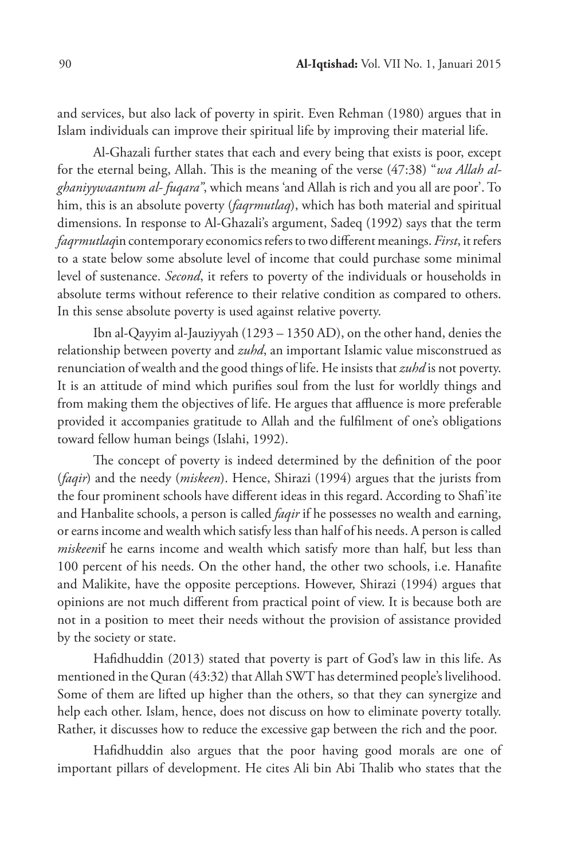and services, but also lack of poverty in spirit. Even Rehman (1980) argues that in Islam individuals can improve their spiritual life by improving their material life.

Al-Ghazali further states that each and every being that exists is poor, except for the eternal being, Allah. This is the meaning of the verse (47:38) "*wa Allah alghaniyywaantum al- fuqara"*, which means 'and Allah is rich and you all are poor'. To him, this is an absolute poverty (*faqrmutlaq*), which has both material and spiritual dimensions. In response to Al-Ghazali's argument, Sadeq (1992) says that the term *faqrmutlaq*in contemporary economics refers to two different meanings. *First*, it refers to a state below some absolute level of income that could purchase some minimal level of sustenance. *Second*, it refers to poverty of the individuals or households in absolute terms without reference to their relative condition as compared to others. In this sense absolute poverty is used against relative poverty.

Ibn al-Qayyim al-Jauziyyah (1293 – 1350 AD), on the other hand, denies the relationship between poverty and *zuhd*, an important Islamic value misconstrued as renunciation of wealth and the good things of life. He insists that *zuhd* is not poverty. It is an attitude of mind which purifies soul from the lust for worldly things and from making them the objectives of life. He argues that affluence is more preferable provided it accompanies gratitude to Allah and the fulfilment of one's obligations toward fellow human beings (Islahi, 1992).

The concept of poverty is indeed determined by the definition of the poor (*faqir*) and the needy (*miskeen*). Hence, Shirazi (1994) argues that the jurists from the four prominent schools have different ideas in this regard. According to Shafi'ite and Hanbalite schools, a person is called *faqir* if he possesses no wealth and earning, or earns income and wealth which satisfy less than half of his needs. A person is called *miskeen*if he earns income and wealth which satisfy more than half, but less than 100 percent of his needs. On the other hand, the other two schools, i.e. Hanafite and Malikite, have the opposite perceptions. However, Shirazi (1994) argues that opinions are not much different from practical point of view. It is because both are not in a position to meet their needs without the provision of assistance provided by the society or state.

Hafidhuddin (2013) stated that poverty is part of God's law in this life. As mentioned in the Quran (43:32) that Allah SWT has determined people's livelihood. Some of them are lifted up higher than the others, so that they can synergize and help each other. Islam, hence, does not discuss on how to eliminate poverty totally. Rather, it discusses how to reduce the excessive gap between the rich and the poor.

Hafidhuddin also argues that the poor having good morals are one of important pillars of development. He cites Ali bin Abi Thalib who states that the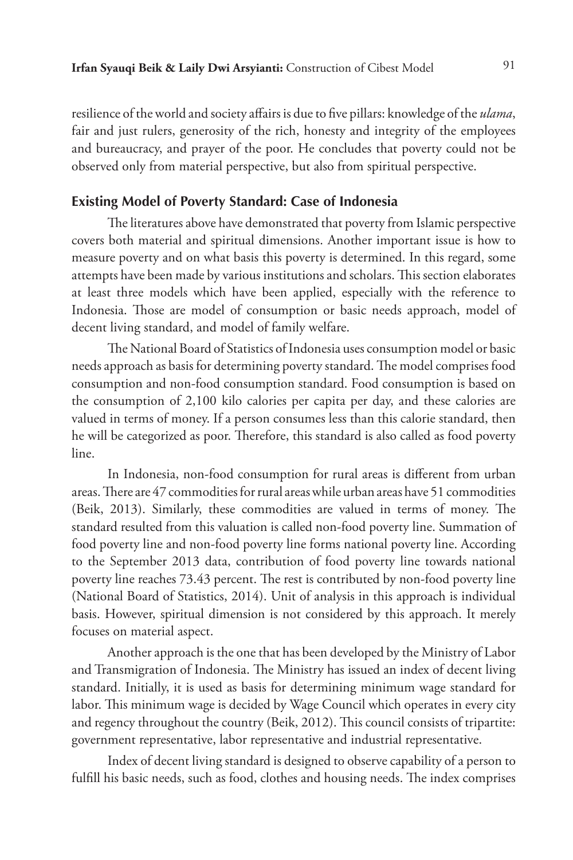resilience of the world and society affairs is due to five pillars: knowledge of the *ulama*, fair and just rulers, generosity of the rich, honesty and integrity of the employees and bureaucracy, and prayer of the poor. He concludes that poverty could not be observed only from material perspective, but also from spiritual perspective.

# **Existing Model of Poverty Standard: Case of Indonesia**

The literatures above have demonstrated that poverty from Islamic perspective covers both material and spiritual dimensions. Another important issue is how to measure poverty and on what basis this poverty is determined. In this regard, some attempts have been made by various institutions and scholars. This section elaborates at least three models which have been applied, especially with the reference to Indonesia. Those are model of consumption or basic needs approach, model of decent living standard, and model of family welfare.

The National Board of Statistics of Indonesia uses consumption model or basic needs approach as basis for determining poverty standard. The model comprises food consumption and non-food consumption standard. Food consumption is based on the consumption of 2,100 kilo calories per capita per day, and these calories are valued in terms of money. If a person consumes less than this calorie standard, then he will be categorized as poor. Therefore, this standard is also called as food poverty line.

In Indonesia, non-food consumption for rural areas is different from urban areas. There are 47 commodities for rural areas while urban areas have 51 commodities (Beik, 2013). Similarly, these commodities are valued in terms of money. The standard resulted from this valuation is called non-food poverty line. Summation of food poverty line and non-food poverty line forms national poverty line. According to the September 2013 data, contribution of food poverty line towards national poverty line reaches 73.43 percent. The rest is contributed by non-food poverty line (National Board of Statistics, 2014). Unit of analysis in this approach is individual basis. However, spiritual dimension is not considered by this approach. It merely focuses on material aspect.

Another approach is the one that has been developed by the Ministry of Labor and Transmigration of Indonesia. The Ministry has issued an index of decent living standard. Initially, it is used as basis for determining minimum wage standard for labor. This minimum wage is decided by Wage Council which operates in every city and regency throughout the country (Beik, 2012). This council consists of tripartite: government representative, labor representative and industrial representative.

Index of decent living standard is designed to observe capability of a person to fulfill his basic needs, such as food, clothes and housing needs. The index comprises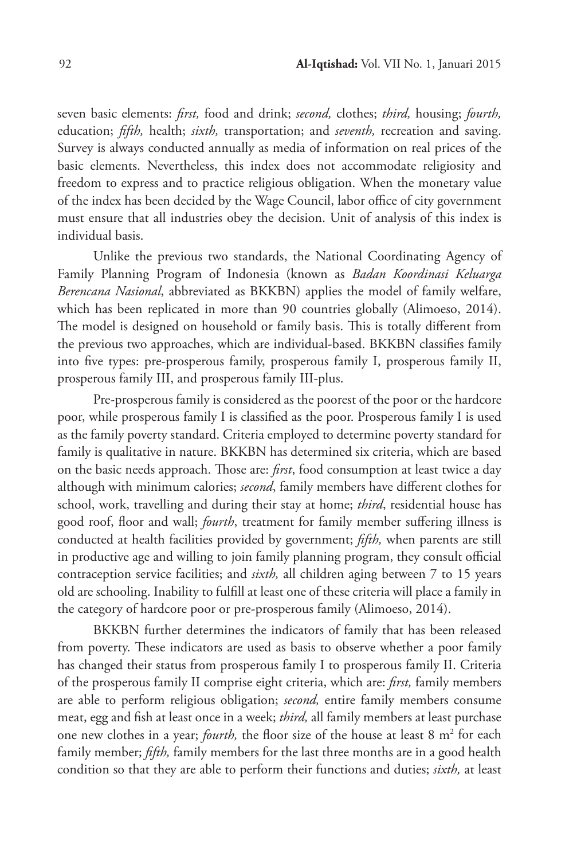seven basic elements: *first,* food and drink; *second,* clothes; *third,* housing; *fourth,* education; *fifth,* health; *sixth,* transportation; and *seventh,* recreation and saving. Survey is always conducted annually as media of information on real prices of the basic elements. Nevertheless, this index does not accommodate religiosity and freedom to express and to practice religious obligation. When the monetary value of the index has been decided by the Wage Council, labor office of city government must ensure that all industries obey the decision. Unit of analysis of this index is individual basis.

Unlike the previous two standards, the National Coordinating Agency of Family Planning Program of Indonesia (known as *Badan Koordinasi Keluarga Berencana Nasional*, abbreviated as BKKBN) applies the model of family welfare, which has been replicated in more than 90 countries globally (Alimoeso, 2014). The model is designed on household or family basis. This is totally different from the previous two approaches, which are individual-based. BKKBN classifies family into five types: pre-prosperous family, prosperous family I, prosperous family II, prosperous family III, and prosperous family III-plus.

Pre-prosperous family is considered as the poorest of the poor or the hardcore poor, while prosperous family I is classified as the poor. Prosperous family I is used as the family poverty standard. Criteria employed to determine poverty standard for family is qualitative in nature. BKKBN has determined six criteria, which are based on the basic needs approach. Those are: *first*, food consumption at least twice a day although with minimum calories; *second*, family members have different clothes for school, work, travelling and during their stay at home; *third*, residential house has good roof, floor and wall; *fourth*, treatment for family member suffering illness is conducted at health facilities provided by government; *fifth,* when parents are still in productive age and willing to join family planning program, they consult official contraception service facilities; and *sixth,* all children aging between 7 to 15 years old are schooling. Inability to fulfill at least one of these criteria will place a family in the category of hardcore poor or pre-prosperous family (Alimoeso, 2014).

BKKBN further determines the indicators of family that has been released from poverty. These indicators are used as basis to observe whether a poor family has changed their status from prosperous family I to prosperous family II. Criteria of the prosperous family II comprise eight criteria, which are: *first,* family members are able to perform religious obligation; *second,* entire family members consume meat, egg and fish at least once in a week; *third,* all family members at least purchase one new clothes in a year; *fourth*, the floor size of the house at least 8 m<sup>2</sup> for each family member; *fifth,* family members for the last three months are in a good health condition so that they are able to perform their functions and duties; *sixth,* at least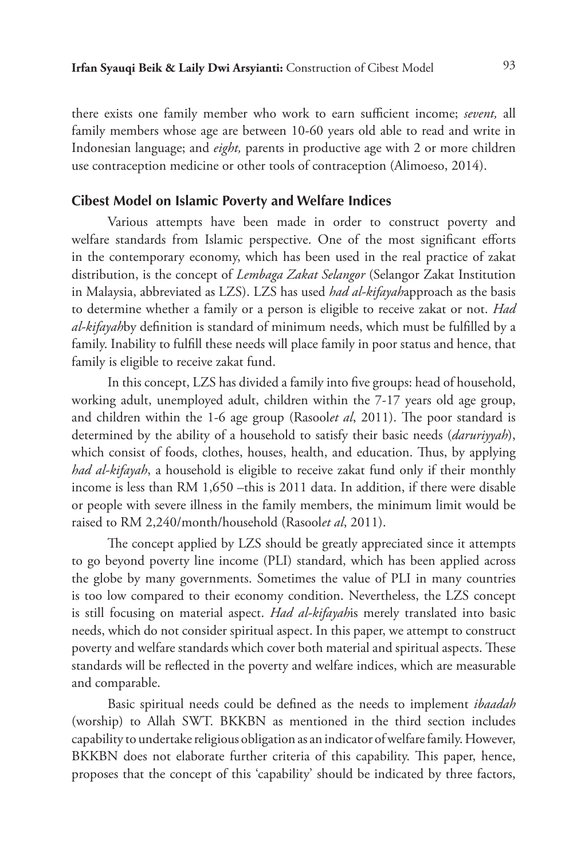there exists one family member who work to earn sufficient income; *sevent,* all family members whose age are between 10-60 years old able to read and write in Indonesian language; and *eight,* parents in productive age with 2 or more children use contraception medicine or other tools of contraception (Alimoeso, 2014).

# **Cibest Model on Islamic Poverty and Welfare Indices**

Various attempts have been made in order to construct poverty and welfare standards from Islamic perspective. One of the most significant efforts in the contemporary economy, which has been used in the real practice of zakat distribution, is the concept of *Lembaga Zakat Selangor* (Selangor Zakat Institution in Malaysia, abbreviated as LZS). LZS has used *had al-kifayah*approach as the basis to determine whether a family or a person is eligible to receive zakat or not. *Had al-kifayah*by definition is standard of minimum needs, which must be fulfilled by a family. Inability to fulfill these needs will place family in poor status and hence, that family is eligible to receive zakat fund.

In this concept, LZS has divided a family into five groups: head of household, working adult, unemployed adult, children within the 7-17 years old age group, and children within the 1-6 age group (Rasool*et al*, 2011). The poor standard is determined by the ability of a household to satisfy their basic needs (*daruriyyah*), which consist of foods, clothes, houses, health, and education. Thus, by applying *had al-kifayah*, a household is eligible to receive zakat fund only if their monthly income is less than RM 1,650 –this is 2011 data. In addition, if there were disable or people with severe illness in the family members, the minimum limit would be raised to RM 2,240/month/household (Rasool*et al*, 2011).

The concept applied by LZS should be greatly appreciated since it attempts to go beyond poverty line income (PLI) standard, which has been applied across the globe by many governments. Sometimes the value of PLI in many countries is too low compared to their economy condition. Nevertheless, the LZS concept is still focusing on material aspect. *Had al-kifayah*is merely translated into basic needs, which do not consider spiritual aspect. In this paper, we attempt to construct poverty and welfare standards which cover both material and spiritual aspects. These standards will be reflected in the poverty and welfare indices, which are measurable and comparable.

Basic spiritual needs could be defined as the needs to implement *ibaadah*  (worship) to Allah SWT. BKKBN as mentioned in the third section includes capability to undertake religious obligation as an indicator of welfare family. However, BKKBN does not elaborate further criteria of this capability. This paper, hence, proposes that the concept of this 'capability' should be indicated by three factors,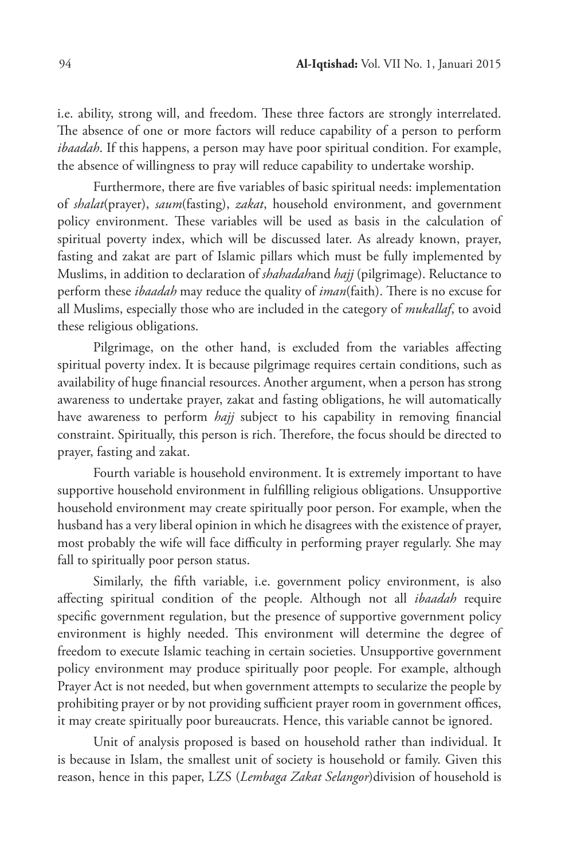i.e. ability, strong will, and freedom. These three factors are strongly interrelated. The absence of one or more factors will reduce capability of a person to perform *ibaadah*. If this happens, a person may have poor spiritual condition. For example, the absence of willingness to pray will reduce capability to undertake worship.

Furthermore, there are five variables of basic spiritual needs: implementation of *shalat*(prayer), *saum*(fasting), *zakat*, household environment, and government policy environment. These variables will be used as basis in the calculation of spiritual poverty index, which will be discussed later. As already known, prayer, fasting and zakat are part of Islamic pillars which must be fully implemented by Muslims, in addition to declaration of *shahadah*and *hajj* (pilgrimage). Reluctance to perform these *ibaadah* may reduce the quality of *iman*(faith). There is no excuse for all Muslims, especially those who are included in the category of *mukallaf*, to avoid these religious obligations.

Pilgrimage, on the other hand, is excluded from the variables affecting spiritual poverty index. It is because pilgrimage requires certain conditions, such as availability of huge financial resources. Another argument, when a person has strong awareness to undertake prayer, zakat and fasting obligations, he will automatically have awareness to perform *hajj* subject to his capability in removing financial constraint. Spiritually, this person is rich. Therefore, the focus should be directed to prayer, fasting and zakat.

Fourth variable is household environment. It is extremely important to have supportive household environment in fulfilling religious obligations. Unsupportive household environment may create spiritually poor person. For example, when the husband has a very liberal opinion in which he disagrees with the existence of prayer, most probably the wife will face difficulty in performing prayer regularly. She may fall to spiritually poor person status.

Similarly, the fifth variable, i.e. government policy environment, is also affecting spiritual condition of the people. Although not all *ibaadah* require specific government regulation, but the presence of supportive government policy environment is highly needed. This environment will determine the degree of freedom to execute Islamic teaching in certain societies. Unsupportive government policy environment may produce spiritually poor people. For example, although Prayer Act is not needed, but when government attempts to secularize the people by prohibiting prayer or by not providing sufficient prayer room in government offices, it may create spiritually poor bureaucrats. Hence, this variable cannot be ignored.

Unit of analysis proposed is based on household rather than individual. It is because in Islam, the smallest unit of society is household or family. Given this reason, hence in this paper, LZS (*Lembaga Zakat Selangor*)division of household is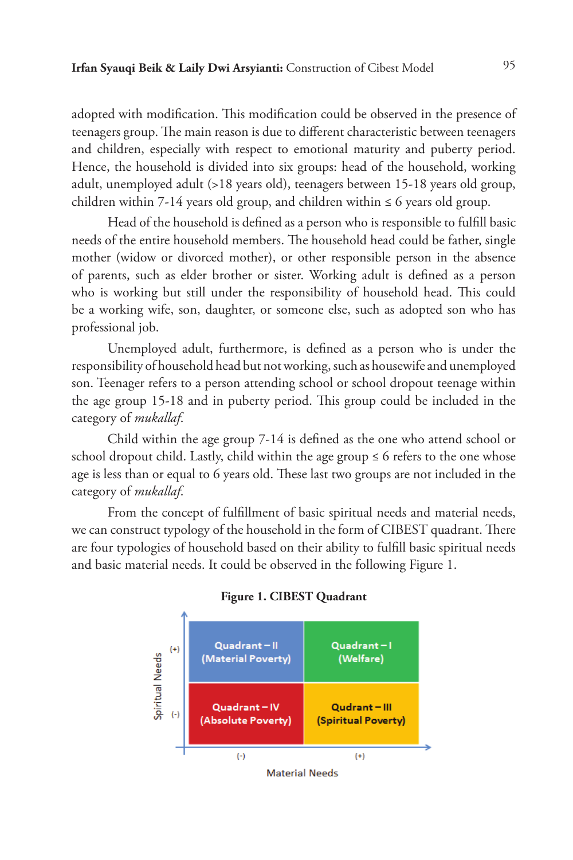adopted with modification. This modification could be observed in the presence of teenagers group. The main reason is due to different characteristic between teenagers and children, especially with respect to emotional maturity and puberty period. Hence, the household is divided into six groups: head of the household, working adult, unemployed adult (>18 years old), teenagers between 15-18 years old group, children within 7-14 years old group, and children within  $\leq 6$  years old group.

Head of the household is defined as a person who is responsible to fulfill basic needs of the entire household members. The household head could be father, single mother (widow or divorced mother), or other responsible person in the absence of parents, such as elder brother or sister. Working adult is defined as a person who is working but still under the responsibility of household head. This could be a working wife, son, daughter, or someone else, such as adopted son who has professional job.

Unemployed adult, furthermore, is defined as a person who is under the responsibility of household head but not working, such as housewife and unemployed son. Teenager refers to a person attending school or school dropout teenage within the age group 15-18 and in puberty period. This group could be included in the category of *mukallaf*.

Child within the age group 7-14 is defined as the one who attend school or school dropout child. Lastly, child within the age group  $\leq 6$  refers to the one whose age is less than or equal to 6 years old. These last two groups are not included in the category of *mukallaf*.

From the concept of fulfillment of basic spiritual needs and material needs, we can construct typology of the household in the form of CIBEST quadrant. There are four typologies of household based on their ability to fulfill basic spiritual needs and basic material needs. It could be observed in the following Figure 1.



**Figure 1. CIBEST Quadrant**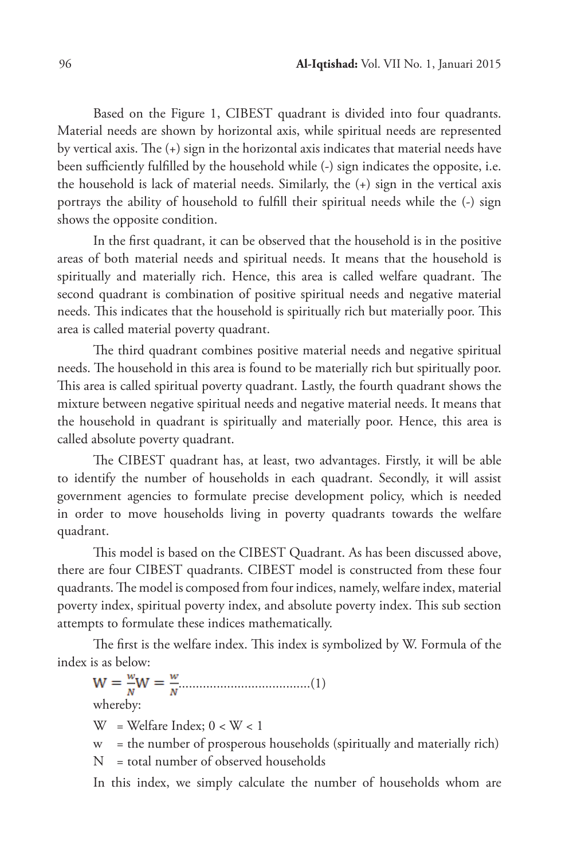Based on the Figure 1, CIBEST quadrant is divided into four quadrants. Material needs are shown by horizontal axis, while spiritual needs are represented by vertical axis. The (+) sign in the horizontal axis indicates that material needs have been sufficiently fulfilled by the household while (-) sign indicates the opposite, i.e. the household is lack of material needs. Similarly, the (+) sign in the vertical axis portrays the ability of household to fulfill their spiritual needs while the (-) sign shows the opposite condition.

In the first quadrant, it can be observed that the household is in the positive areas of both material needs and spiritual needs. It means that the household is spiritually and materially rich. Hence, this area is called welfare quadrant. The second quadrant is combination of positive spiritual needs and negative material needs. This indicates that the household is spiritually rich but materially poor. This area is called material poverty quadrant.

The third quadrant combines positive material needs and negative spiritual needs. The household in this area is found to be materially rich but spiritually poor. This area is called spiritual poverty quadrant. Lastly, the fourth quadrant shows the mixture between negative spiritual needs and negative material needs. It means that the household in quadrant is spiritually and materially poor. Hence, this area is called absolute poverty quadrant.

The CIBEST quadrant has, at least, two advantages. Firstly, it will be able to identify the number of households in each quadrant. Secondly, it will assist government agencies to formulate precise development policy, which is needed in order to move households living in poverty quadrants towards the welfare quadrant.

This model is based on the CIBEST Quadrant. As has been discussed above, there are four CIBEST quadrants. CIBEST model is constructed from these four quadrants. The model is composed from four indices, namely, welfare index, material poverty index, spiritual poverty index, and absolute poverty index. This sub section attempts to formulate these indices mathematically.

The first is the welfare index. This index is symbolized by W. Formula of the index is as below:

......................................(1) whereby:

W = Welfare Index;  $0 < W < 1$ 

w = the number of prosperous households (spiritually and materially rich)

N = total number of observed households

In this index, we simply calculate the number of households whom are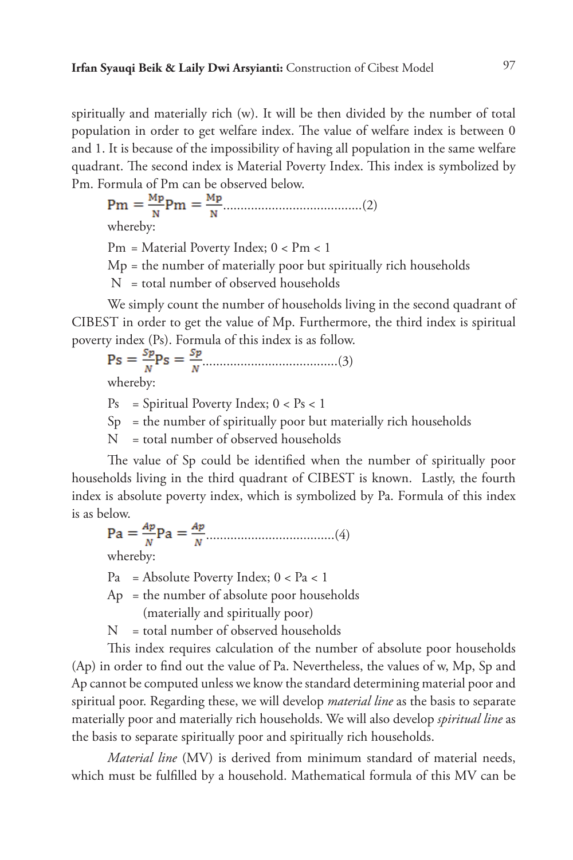spiritually and materially rich (w). It will be then divided by the number of total population in order to get welfare index. The value of welfare index is between 0 and 1. It is because of the impossibility of having all population in the same welfare quadrant. The second index is Material Poverty Index. This index is symbolized by Pm. Formula of Pm can be observed below.

........................................(2)

whereby:

Pm = Material Poverty Index; 0 < Pm < 1

 $Mp =$  the number of materially poor but spiritually rich households

N = total number of observed households

We simply count the number of households living in the second quadrant of CIBEST in order to get the value of Mp. Furthermore, the third index is spiritual poverty index (Ps). Formula of this index is as follow.

.......................................(3) whereby:

 $Ps = Spiritud Poverty Index; 0 < Ps < 1$ 

 $Sp =$  the number of spiritually poor but materially rich households

N = total number of observed households

The value of Sp could be identified when the number of spiritually poor households living in the third quadrant of CIBEST is known. Lastly, the fourth index is absolute poverty index, which is symbolized by Pa. Formula of this index is as below.

.....................................(4)

whereby:

 $Pa = Absolute Powerty Index; 0 < Pa < 1$ 

 $Ap = the number of absolute poor households$ (materially and spiritually poor)

N = total number of observed households

This index requires calculation of the number of absolute poor households (Ap) in order to find out the value of Pa. Nevertheless, the values of w, Mp, Sp and Ap cannot be computed unless we know the standard determining material poor and spiritual poor. Regarding these, we will develop *material line* as the basis to separate materially poor and materially rich households. We will also develop *spiritual line* as the basis to separate spiritually poor and spiritually rich households.

*Material line* (MV) is derived from minimum standard of material needs, which must be fulfilled by a household. Mathematical formula of this MV can be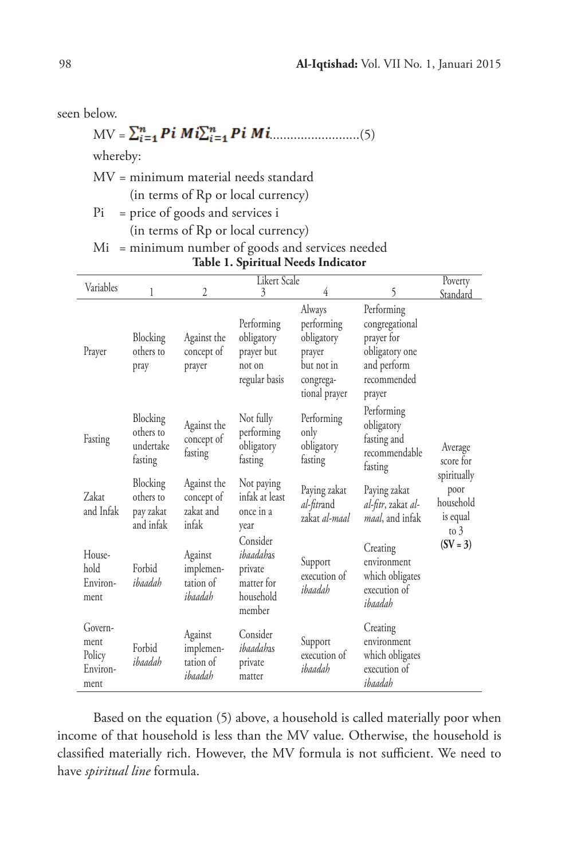seen below.

MV = 
$$
\sum_{i=1}^{n} P_i M_i \sum_{i=1}^{n} P_i M_i
$$
.................(5)

whereby:

MV = minimum material needs standard (in terms of Rp or local currency)

Pi = price of goods and services i

(in terms of Rp or local currency)

|  | Mi = minimum number of goods and services needed |  |  |  |  |  |
|--|--------------------------------------------------|--|--|--|--|--|
|--|--------------------------------------------------|--|--|--|--|--|

| Variables                                     | <b>Likert Scale</b>                             |                                                 |                                                                       |                                                                                          |                                                                                                      | Poverty                                                |
|-----------------------------------------------|-------------------------------------------------|-------------------------------------------------|-----------------------------------------------------------------------|------------------------------------------------------------------------------------------|------------------------------------------------------------------------------------------------------|--------------------------------------------------------|
|                                               | 1                                               | $\overline{2}$                                  | 3                                                                     | 4                                                                                        | 5                                                                                                    | Standard                                               |
| Prayer                                        | Blocking<br>others to<br>pray                   | Against the<br>concept of<br>prayer             | Performing<br>obligatory<br>prayer but<br>not on<br>regular basis     | Always<br>performing<br>obligatory<br>prayer<br>but not in<br>congrega-<br>tional prayer | Performing<br>congregational<br>prayer for<br>obligatory one<br>and perform<br>recommended<br>prayer |                                                        |
| Fasting                                       | Blocking<br>others to<br>undertake<br>fasting   | Against the<br>concept of<br>fasting            | Not fully<br>performing<br>obligatory<br>fasting                      | Performing<br>only<br>obligatory<br>fasting                                              | Performing<br>obligatory<br>fasting and<br>recommendable<br>fasting                                  | Average<br>score for                                   |
| Zakat<br>and Infak                            | Blocking<br>others to<br>pay zakat<br>and infak | Against the<br>concept of<br>zakat and<br>infak | Not paying<br>infak at least<br>once in a<br>year                     | Paying zakat<br>al-fitrand<br>zakat al-maal                                              | Paying zakat<br>al-fitr, zakat al-<br>maal, and infak                                                | spiritually<br>poor<br>household<br>is equal<br>to $3$ |
| House-<br>hold<br>Environ-<br>ment            | Forbid<br>ihaadah                               | Against<br>implemen-<br>tation of<br>ibaadah    | Consider<br>ibaadahas<br>private<br>matter for<br>household<br>member | Support<br>execution of<br>ibaadah                                                       | Creating<br>environment<br>which obligates<br>execution of<br>ibaadah                                | $(SV = 3)$                                             |
| Govern-<br>ment<br>Policy<br>Environ-<br>ment | Forbid<br>ibaadah                               | Against<br>implemen-<br>tation of<br>ibaadah    | Consider<br>ibaadahas<br>private<br>matter                            | Support<br>execution of<br>ibaadah                                                       | Creating<br>environment<br>which obligates<br>execution of<br>ibaadah                                |                                                        |

# **Table 1. Spiritual Needs Indicator**

Based on the equation (5) above, a household is called materially poor when income of that household is less than the MV value. Otherwise, the household is classified materially rich. However, the MV formula is not sufficient. We need to have *spiritual line* formula.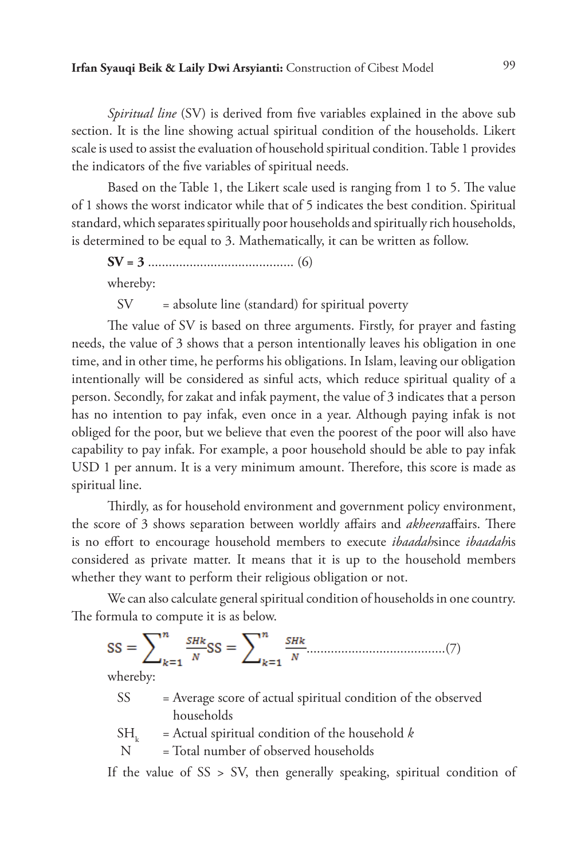*Spiritual line* (SV) is derived from five variables explained in the above sub section. It is the line showing actual spiritual condition of the households. Likert scale is used to assist the evaluation of household spiritual condition. Table 1 provides the indicators of the five variables of spiritual needs.

Based on the Table 1, the Likert scale used is ranging from 1 to 5. The value of 1 shows the worst indicator while that of 5 indicates the best condition. Spiritual standard, which separates spiritually poor households and spiritually rich households, is determined to be equal to 3. Mathematically, it can be written as follow.

**SV = 3** .......................................... (6) whereby:

 $SV = absolute line (standard) for spiritual powerty$ 

The value of SV is based on three arguments. Firstly, for prayer and fasting needs, the value of 3 shows that a person intentionally leaves his obligation in one time, and in other time, he performs his obligations. In Islam, leaving our obligation intentionally will be considered as sinful acts, which reduce spiritual quality of a person. Secondly, for zakat and infak payment, the value of 3 indicates that a person has no intention to pay infak, even once in a year. Although paying infak is not obliged for the poor, but we believe that even the poorest of the poor will also have capability to pay infak. For example, a poor household should be able to pay infak USD 1 per annum. It is a very minimum amount. Therefore, this score is made as spiritual line.

Thirdly, as for household environment and government policy environment, the score of 3 shows separation between worldly affairs and *akheera*affairs. There is no effort to encourage household members to execute *ibaadah*since *ibaadah*is considered as private matter. It means that it is up to the household members whether they want to perform their religious obligation or not.

We can also calculate general spiritual condition of households in one country. The formula to compute it is as below.

........................................(7) whereby:

- SS = Average score of actual spiritual condition of the observed households
- $SH_k$  = Actual spiritual condition of the household *k*<br>N = Total number of observed households
- = Total number of observed households

If the value of  $SS > SV$ , then generally speaking, spiritual condition of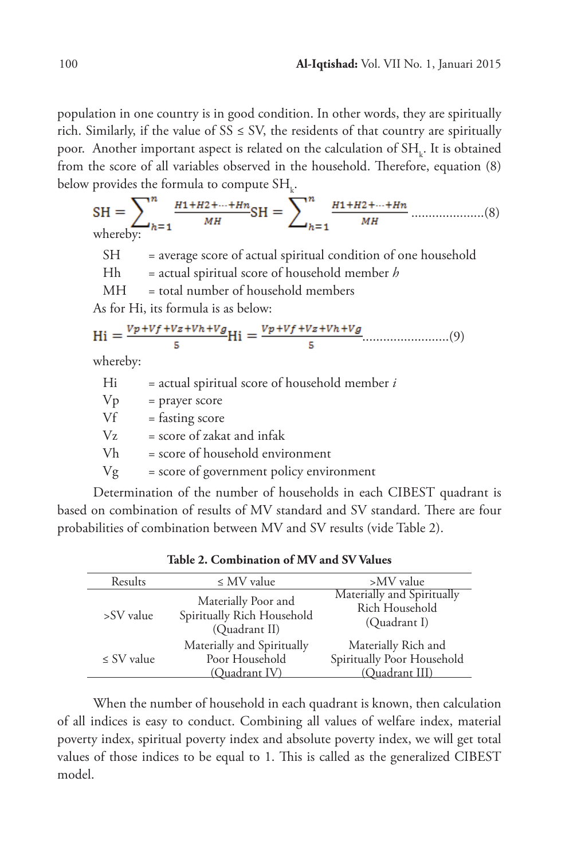population in one country is in good condition. In other words, they are spiritually rich. Similarly, if the value of  $SS \leq SV$ , the residents of that country are spiritually poor. Another important aspect is related on the calculation of  $\text{SH}_{\text{k}}.$  It is obtained from the score of all variables observed in the household. Therefore, equation (8) below provides the formula to compute  $\text{SH}_{\text{k}}$ .

 .....................(8) whereby: SH = average score of actual spiritual condition of one household Hh = actual spiritual score of household member *h*  MH = total number of household members As for Hi, its formula is as below: .........................(9) whereby: Hi = actual spiritual score of household member *i*

|         | accum opinium ocore or nouvenora memore  |
|---------|------------------------------------------|
| Vp      | = prayer score                           |
| Vf      | $=$ fasting score                        |
| $V_{Z}$ | $=$ score of zakat and infak             |
| Vh.     | $=$ score of household environment       |
| Vg      | = score of government policy environment |

Determination of the number of households in each CIBEST quadrant is based on combination of results of MV standard and SV standard. There are four probabilities of combination between MV and SV results (vide Table 2).

| Results         | $\leq$ MV value                                                    | >MV value                                                           |
|-----------------|--------------------------------------------------------------------|---------------------------------------------------------------------|
| >SV value       | Materially Poor and<br>Spiritually Rich Household<br>(Quadrant II) | Materially and Spiritually<br>Rich Household<br>(Quadrant I)        |
| $\leq$ SV value | Materially and Spiritually<br>Poor Household<br>(Ouadrant IV)      | Materially Rich and<br>Spiritually Poor Household<br>(Quadrant III) |

**Table 2. Combination of MV and SV Values**

When the number of household in each quadrant is known, then calculation of all indices is easy to conduct. Combining all values of welfare index, material poverty index, spiritual poverty index and absolute poverty index, we will get total values of those indices to be equal to 1. This is called as the generalized CIBEST model.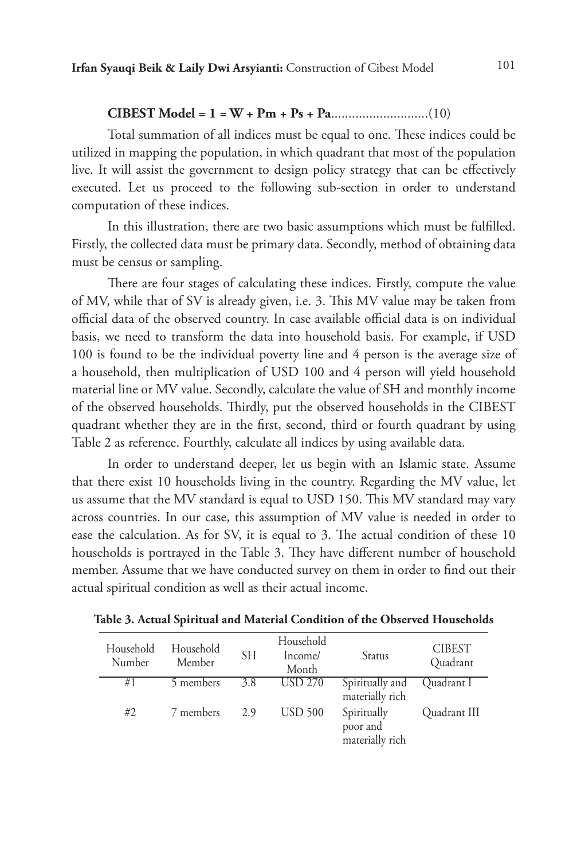#### **CIBEST Model = 1 = W + Pm + Ps + Pa**............................(10)

Total summation of all indices must be equal to one. These indices could be utilized in mapping the population, in which quadrant that most of the population live. It will assist the government to design policy strategy that can be effectively executed. Let us proceed to the following sub-section in order to understand computation of these indices.

In this illustration, there are two basic assumptions which must be fulfilled. Firstly, the collected data must be primary data. Secondly, method of obtaining data must be census or sampling.

There are four stages of calculating these indices. Firstly, compute the value of MV, while that of SV is already given, i.e. 3. This MV value may be taken from official data of the observed country. In case available official data is on individual basis, we need to transform the data into household basis. For example, if USD 100 is found to be the individual poverty line and 4 person is the average size of a household, then multiplication of USD 100 and 4 person will yield household material line or MV value. Secondly, calculate the value of SH and monthly income of the observed households. Thirdly, put the observed households in the CIBEST quadrant whether they are in the first, second, third or fourth quadrant by using Table 2 as reference. Fourthly, calculate all indices by using available data.

In order to understand deeper, let us begin with an Islamic state. Assume that there exist 10 households living in the country. Regarding the MV value, let us assume that the MV standard is equal to USD 150. This MV standard may vary across countries. In our case, this assumption of MV value is needed in order to ease the calculation. As for SV, it is equal to 3. The actual condition of these 10 households is portrayed in the Table 3. They have different number of household member. Assume that we have conducted survey on them in order to find out their actual spiritual condition as well as their actual income.

| Household<br>Number | Household<br>Member | <b>SH</b> | Household<br>Income/<br>Month | Status                                     | <b>CIBEST</b><br>Quadrant |
|---------------------|---------------------|-----------|-------------------------------|--------------------------------------------|---------------------------|
| #1                  | 5 members           | 3.8       | <b>USD 270</b>                | Spiritually and<br>materially rich         | Quadrant I                |
| #2                  | 7 members           | 2.9       | <b>USD 500</b>                | Spiritually<br>poor and<br>materially rich | Quadrant III              |

**Table 3. Actual Spiritual and Material Condition of the Observed Households**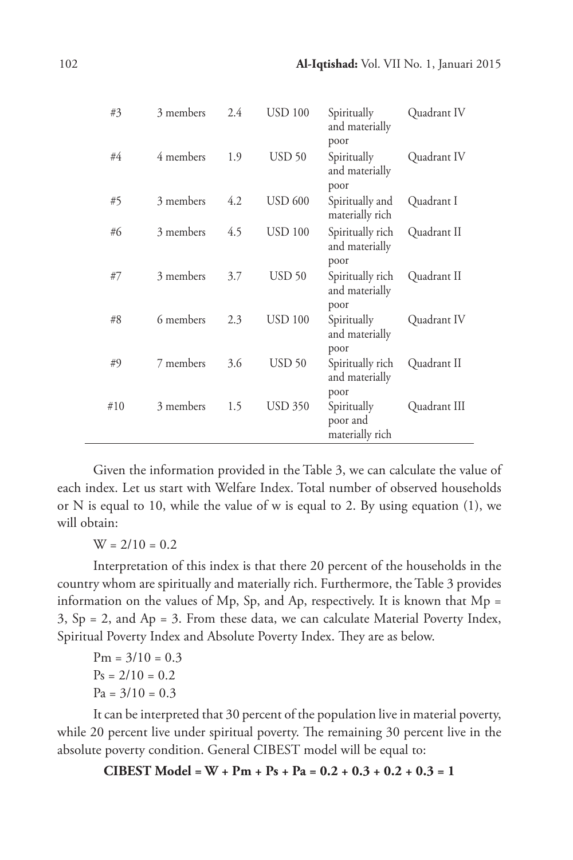| #3  | 3 members | 2.4 | <b>USD 100</b> | Spiritually<br>and materially<br>poor      | Quadrant IV  |
|-----|-----------|-----|----------------|--------------------------------------------|--------------|
| #4  | 4 members | 1.9 | <b>USD 50</b>  | Spiritually<br>and materially<br>poor      | Quadrant IV  |
| #5  | 3 members | 4.2 | <b>USD 600</b> | Spiritually and<br>materially rich         | Quadrant I   |
| #6  | 3 members | 4.5 | <b>USD 100</b> | Spiritually rich<br>and materially<br>poor | Quadrant II  |
| #7  | 3 members | 3.7 | $USD$ 50       | Spiritually rich<br>and materially<br>poor | Quadrant II  |
| #8  | 6 members | 2.3 | <b>USD 100</b> | Spiritually<br>and materially<br>poor      | Quadrant IV  |
| #9  | 7 members | 3.6 | <b>USD 50</b>  | Spiritually rich<br>and materially<br>poor | Quadrant II  |
| #10 | 3 members | 1.5 | <b>USD 350</b> | Spiritually<br>poor and<br>materially rich | Quadrant III |

Given the information provided in the Table 3, we can calculate the value of each index. Let us start with Welfare Index. Total number of observed households or N is equal to 10, while the value of w is equal to 2. By using equation (1), we will obtain:

 $W = 2/10 = 0.2$ 

Interpretation of this index is that there 20 percent of the households in the country whom are spiritually and materially rich. Furthermore, the Table 3 provides information on the values of Mp, Sp, and Ap, respectively. It is known that Mp =  $3, Sp = 2, and Ap = 3. From these data, we can calculate Material Powerty Index,$ Spiritual Poverty Index and Absolute Poverty Index. They are as below.

$$
Pm = 3/10 = 0.3
$$
  

$$
Ps = 2/10 = 0.2
$$
  

$$
Pa = 3/10 = 0.3
$$

It can be interpreted that 30 percent of the population live in material poverty, while 20 percent live under spiritual poverty. The remaining 30 percent live in the absolute poverty condition. General CIBEST model will be equal to:

**CIBEST Model = W + Pm + Ps + Pa = 0.2 + 0.3 + 0.2 + 0.3 = 1**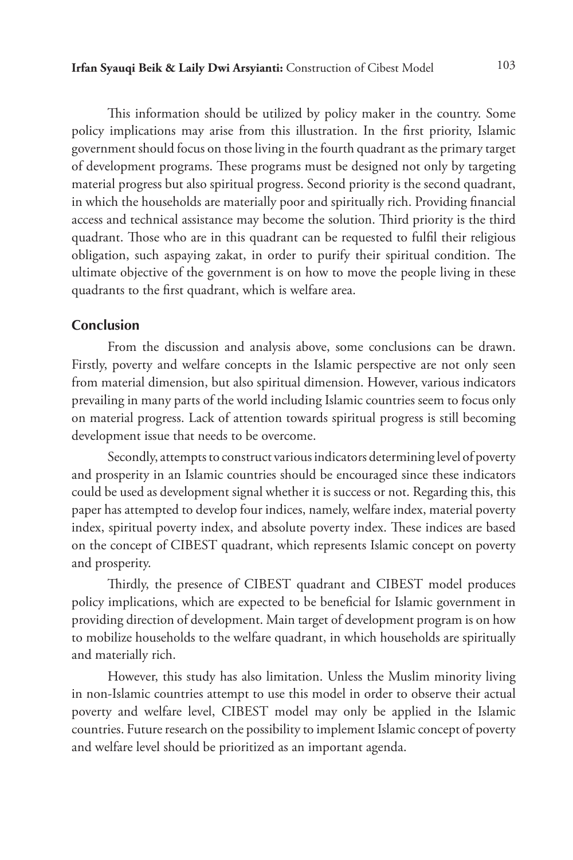This information should be utilized by policy maker in the country. Some policy implications may arise from this illustration. In the first priority, Islamic government should focus on those living in the fourth quadrant as the primary target of development programs. These programs must be designed not only by targeting material progress but also spiritual progress. Second priority is the second quadrant, in which the households are materially poor and spiritually rich. Providing financial access and technical assistance may become the solution. Third priority is the third quadrant. Those who are in this quadrant can be requested to fulfil their religious obligation, such aspaying zakat, in order to purify their spiritual condition. The ultimate objective of the government is on how to move the people living in these quadrants to the first quadrant, which is welfare area.

### **Conclusion**

From the discussion and analysis above, some conclusions can be drawn. Firstly, poverty and welfare concepts in the Islamic perspective are not only seen from material dimension, but also spiritual dimension. However, various indicators prevailing in many parts of the world including Islamic countries seem to focus only on material progress. Lack of attention towards spiritual progress is still becoming development issue that needs to be overcome.

Secondly, attempts to construct various indicators determining level of poverty and prosperity in an Islamic countries should be encouraged since these indicators could be used as development signal whether it is success or not. Regarding this, this paper has attempted to develop four indices, namely, welfare index, material poverty index, spiritual poverty index, and absolute poverty index. These indices are based on the concept of CIBEST quadrant, which represents Islamic concept on poverty and prosperity.

Thirdly, the presence of CIBEST quadrant and CIBEST model produces policy implications, which are expected to be beneficial for Islamic government in providing direction of development. Main target of development program is on how to mobilize households to the welfare quadrant, in which households are spiritually and materially rich.

However, this study has also limitation. Unless the Muslim minority living in non-Islamic countries attempt to use this model in order to observe their actual poverty and welfare level, CIBEST model may only be applied in the Islamic countries. Future research on the possibility to implement Islamic concept of poverty and welfare level should be prioritized as an important agenda.